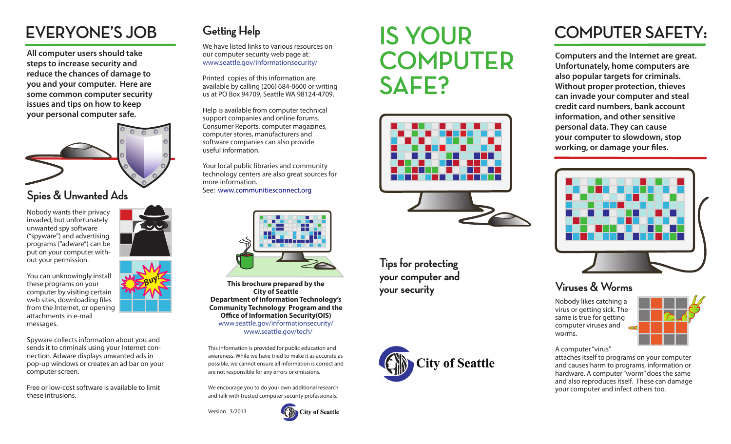## **EVERYONE'S JOB Getting Help**

**All computer users should take steps to increase security and reduce the chances of damage to you and your computer. Here are some common computer security issues and tips on how to keep your personal computer safe.**



### **Spies & Unwanted Ads**

Nobody wants their privacy invaded, but unfortunately unwanted spy software ("spyware") and advertising programs ("adware") can be put on your computer without your permission.

You can unknowingly install these programs on your computer by visiting certain web sites, downloading files from the Internet, or opening attachments in e-mail messages.

Spyware collects information about you and sends it to criminals using your Internet connection. Adware displays unwanted ads in pop-up windows or creates an ad bar on your computer screen.

Free or low-cost software is available to limit these intrusions.





We have listed links to various resources on our computer security web page at: www.seattle.gov/informationsecurity/

Printed copies of this information are available by calling (206) 684-0600 or writing us at PO Box 94709, Seattle WA 98124-4709.

Help is available from computer technical support companies and online forums. Consumer Reports, computer magazines, computer stores, manufacturers and software companies can also provide useful information.

Your local public libraries and community technology centers are also great sources for more information. See: www.communitiesconnect.org



**This brochure prepared by the City of Seattle Department of Information Technology's Community Technology Program and the Office of Information Security(OIS)** www.seattle.gov/informationsecurity/ www.seattle.gov/tech/

This information is provided for public education and awareness. While we have tried to make it as accurate as possible, we cannot ensure all information is correct and are not responsible for any errors or omissions.

We encourage you to do your own additional research and talk with trusted computer security professionals.

Version 3/2013



# **COMPUTER IS YOUR SAFE?**



**Tips for protecting your computer and your security**



# **COMPUTER SAFETY:**

**Computers and the Internet are great. Unfortunately, home computers are also popular targets for criminals. Without proper protection, thieves can invade your computer and steal credit card numbers, bank account information, and other sensitive personal data. They can cause your computer to slowdown, stop working, or damage your files.** 



### **Viruses & Worms**

Nobody likes catching a virus or getting sick. The same is true for getting computer viruses and worms.



A computer "virus"

attaches itself to programs on your computer and causes harm to programs, information or hardware. A computer "worm" does the same and also reproduces itself. These can damage your computer and infect others too.